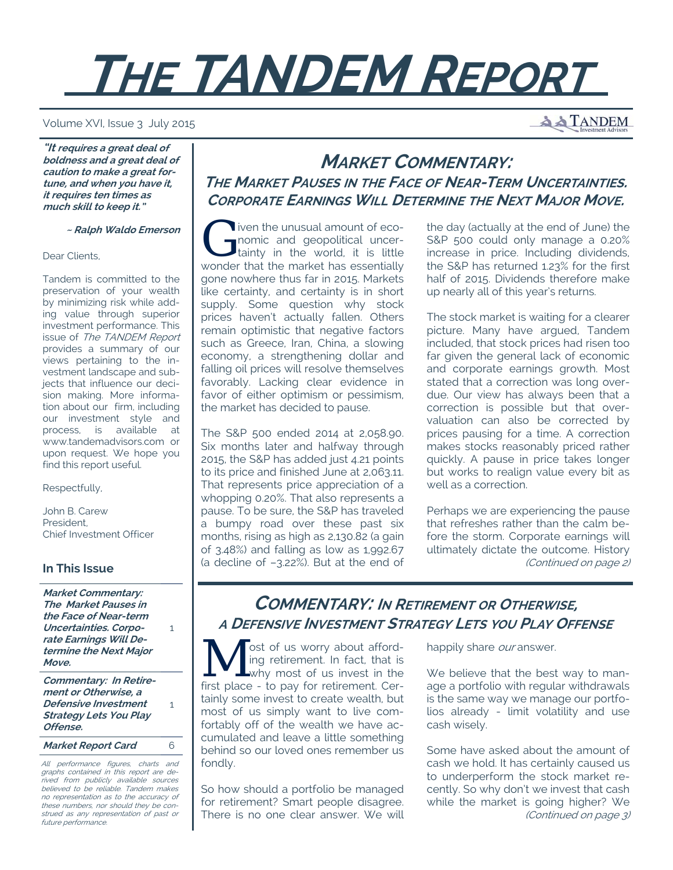# **THE TANDEM REPORT**

Volume XVI, Issue 3 July 2015

**A TANDEM** 

**"It requires a great deal of boldness and a great deal of caution to make a great fortune, and when you have it, it requires ten times as much skill to keep it."** 

 **~ Ralph Waldo Emerson**

Dear Clients,

Tandem is committed to the preservation of your wealth by minimizing risk while adding value through superior investment performance. This issue of The TANDEM Report provides a summary of our views pertaining to the investment landscape and subjects that influence our decision making. More information about our firm, including our investment style and process, is available at www.tandemadvisors.com or upon request. We hope you find this report useful.

Respectfully,

John B. Carew President, Chief Investment Officer

### **In This Issue**

**Market Commentary: The Market Pauses in the Face of Near-term Uncertainties. Corporate Earnings Will Determine the Next Major Move.**

1

1

**Commentary: In Retirement or Otherwise, a Defensive Investment Strategy Lets You Play Offense.**

**Market Report Card** 6

All performance figures, charts and graphs contained in this report are derived from publicly available sources believed to be reliable. Tandem makes no representation as to the accuracy of these numbers, nor should they be construed as any representation of past or future performance.

# **MARKET COMMENTARY: THE MARKET PAUSES IN THE FACE OF NEAR-TERM UNCERTAINTIES. CORPORATE EARNINGS WILL DETERMINE THE NEXT MAJOR MOVE.**

The unusual amount of eco-<br>
tainty in the world, it is little<br>
in the world, it is little nomic and geopolitical uncerwonder that the market has essentially gone nowhere thus far in 2015. Markets like certainty, and certainty is in short supply. Some question why stock prices haven't actually fallen. Others remain optimistic that negative factors such as Greece, Iran, China, a slowing economy, a strengthening dollar and falling oil prices will resolve themselves favorably. Lacking clear evidence in favor of either optimism or pessimism, the market has decided to pause.

The S&P 500 ended 2014 at 2,058.90. Six months later and halfway through 2015, the S&P has added just 4.21 points to its price and finished June at 2,063.11. That represents price appreciation of a whopping 0.20%. That also represents a pause. To be sure, the S&P has traveled a bumpy road over these past six months, rising as high as 2,130.82 (a gain of 3.48%) and falling as low as 1,992.67 (a decline of –3.22%). But at the end of the day (actually at the end of June) the S&P 500 could only manage a 0.20% increase in price. Including dividends, the S&P has returned 1.23% for the first half of 2015. Dividends therefore make up nearly all of this year's returns.

The stock market is waiting for a clearer picture. Many have argued, Tandem included, that stock prices had risen too far given the general lack of economic and corporate earnings growth. Most stated that a correction was long overdue. Our view has always been that a correction is possible but that overvaluation can also be corrected by prices pausing for a time. A correction makes stocks reasonably priced rather quickly. A pause in price takes longer but works to realign value every bit as well as a correction.

Perhaps we are experiencing the pause that refreshes rather than the calm before the storm. Corporate earnings will ultimately dictate the outcome. History (Continued on page 2)

# **COMMENTARY: IN RETIREMENT OR OTHERWISE, A DEFENSIVE INVESTMENT STRATEGY LETS YOU PLAY OFFENSE**

 $\sqrt{\ }$  ost of us worry about affording retirement. In fact, that is why most of us invest in the first place - to pay for retirement. Certainly some invest to create wealth, but most of us simply want to live comfortably off of the wealth we have accumulated and leave a little something behind so our loved ones remember us fondly.

So how should a portfolio be managed for retirement? Smart people disagree. There is no one clear answer. We will

happily share our answer.

We believe that the best way to manage a portfolio with regular withdrawals is the same way we manage our portfolios already - limit volatility and use cash wisely.

Some have asked about the amount of cash we hold. It has certainly caused us to underperform the stock market recently. So why don't we invest that cash while the market is going higher? We (Continued on page 3)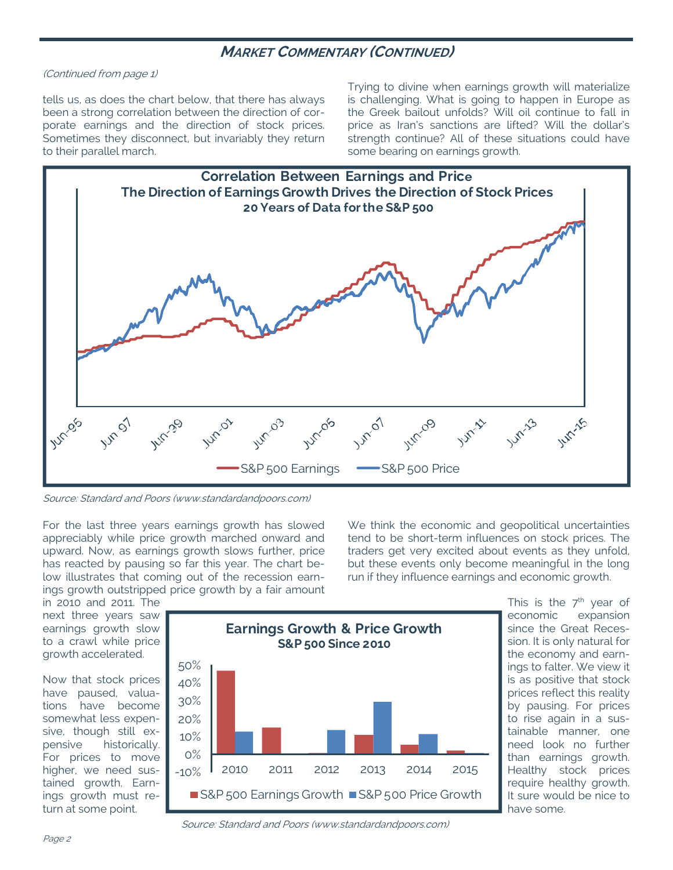## **MARKET COMMENTARY (CONTINUED)**

#### (Continued from page 1)

tells us, as does the chart below, that there has always been a strong correlation between the direction of corporate earnings and the direction of stock prices. Sometimes they disconnect, but invariably they return to their parallel march.

Trying to divine when earnings growth will materialize is challenging. What is going to happen in Europe as the Greek bailout unfolds? Will oil continue to fall in price as Iran's sanctions are lifted? Will the dollar's strength continue? All of these situations could have some bearing on earnings growth.



Source: Standard and Poors (www.standardandpoors.com)

For the last three years earnings growth has slowed appreciably while price growth marched onward and upward. Now, as earnings growth slows further, price has reacted by pausing so far this year. The chart below illustrates that coming out of the recession earnings growth outstripped price growth by a fair amount We think the economic and geopolitical uncertainties tend to be short-term influences on stock prices. The traders get very excited about events as they unfold, but these events only become meaningful in the long run if they influence earnings and economic growth.

in 2010 and 2011. The next three years saw earnings growth slow to a crawl while price growth accelerated.

Now that stock prices have paused, valuations have become somewhat less expensive, though still expensive historically. For prices to move higher, we need sustained growth. Earnings growth must return at some point.



This is the  $7<sup>th</sup>$  year of economic expansion since the Great Recession. It is only natural for the economy and earnings to falter. We view it is as positive that stock prices reflect this reality by pausing. For prices to rise again in a sustainable manner, one need look no further than earnings growth. Healthy stock prices require healthy growth. It sure would be nice to have some.

Source: Standard and Poors (www.standardandpoors.com)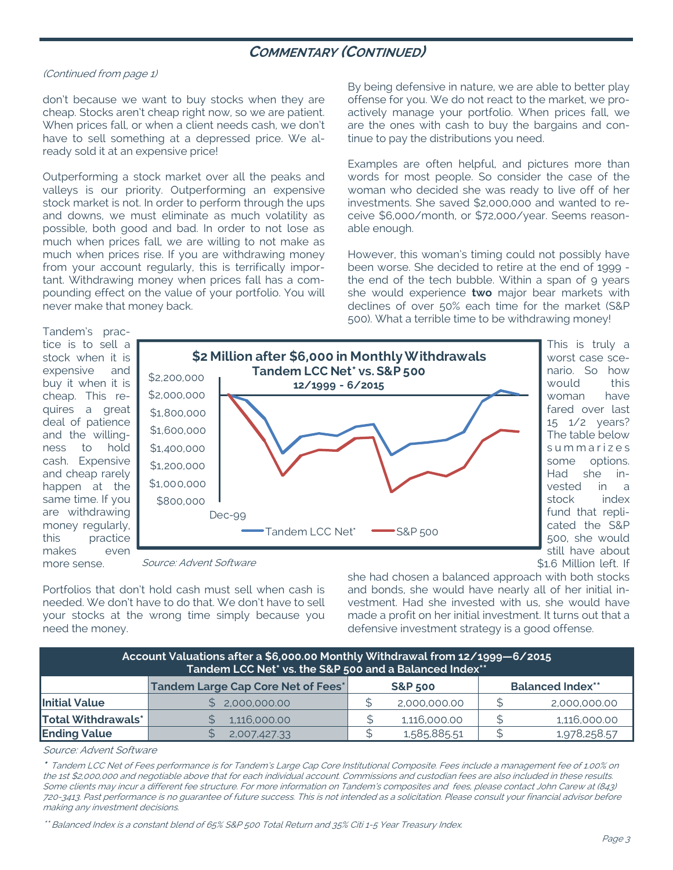## **COMMENTARY (CONTINUED)**

#### (Continued from page 1)

don't because we want to buy stocks when they are cheap. Stocks aren't cheap right now, so we are patient. When prices fall, or when a client needs cash, we don't have to sell something at a depressed price. We already sold it at an expensive price!

Outperforming a stock market over all the peaks and valleys is our priority. Outperforming an expensive stock market is not. In order to perform through the ups and downs, we must eliminate as much volatility as possible, both good and bad. In order to not lose as much when prices fall, we are willing to not make as much when prices rise. If you are withdrawing money from your account regularly, this is terrifically important. Withdrawing money when prices fall has a compounding effect on the value of your portfolio. You will never make that money back.

By being defensive in nature, we are able to better play offense for you. We do not react to the market, we proactively manage your portfolio. When prices fall, we are the ones with cash to buy the bargains and continue to pay the distributions you need.

Examples are often helpful, and pictures more than words for most people. So consider the case of the woman who decided she was ready to live off of her investments. She saved \$2,000,000 and wanted to receive \$6,000/month, or \$72,000/year. Seems reasonable enough.

However, this woman's timing could not possibly have been worse. She decided to retire at the end of 1999 the end of the tech bubble. Within a span of 9 years she would experience **two** major bear markets with declines of over 50% each time for the market (S&P 500). What a terrible time to be withdrawing money!

> This is truly a worst case scenario. So how would this woman have fared over last 15 1/2 years? The table below s u m m a r i z e s some options. Had she invested in a stock index fund that replicated the S&P 500, she would still have about

Tandem's practice is to sell a stock when it is expensive and buy it when it is cheap. This requires a great deal of patience and the willingness to hold cash. Expensive and cheap rarely happen at the same time. If you are withdrawing money regularly, this practice makes even more sense.



Source: Advent Software

Portfolios that don't hold cash must sell when cash is needed. We don't have to do that. We don't have to sell your stocks at the wrong time simply because you need the money.

\$1.6 Million left. If she had chosen a balanced approach with both stocks and bonds, she would have nearly all of her initial investment. Had she invested with us, she would have made a profit on her initial investment. It turns out that a defensive investment strategy is a good offense.

| Account Valuations after a \$6,000.00 Monthly Withdrawal from 12/1999-6/2015<br>Tandem LCC Net* vs. the S&P 500 and a Balanced Index** |                                           |                    |              |                         |              |  |  |  |  |  |  |
|----------------------------------------------------------------------------------------------------------------------------------------|-------------------------------------------|--------------------|--------------|-------------------------|--------------|--|--|--|--|--|--|
|                                                                                                                                        | <b>Tandem Large Cap Core Net of Fees*</b> | <b>S&amp;P 500</b> |              | <b>Balanced Index**</b> |              |  |  |  |  |  |  |
| <b>Initial Value</b>                                                                                                                   | 2,000,000.00                              |                    | 2,000,000.00 |                         | 2,000,000.00 |  |  |  |  |  |  |
| <b>Total Withdrawals*</b>                                                                                                              | 1,116,000.00                              |                    | 1,116,000.00 | ¢                       | 1,116,000.00 |  |  |  |  |  |  |
| <b>Ending Value</b>                                                                                                                    | 2,007,427.33                              |                    | 1,585,885.51 |                         | 1,978,258.57 |  |  |  |  |  |  |

#### Source: Advent Software

**\*** Tandem LCC Net of Fees performance is for Tandem's Large Cap Core Institutional Composite. Fees include a management fee of 1.00% on the 1st \$2,000,000 and negotiable above that for each individual account. Commissions and custodian fees are also included in these results. Some clients may incur a different fee structure. For more information on Tandem's composites and fees, please contact John Carew at (843) 720-3413. Past performance is no guarantee of future success. This is not intended as a solicitation. Please consult your financial advisor before making any investment decisions.

\*\* Balanced Index is a constant blend of 65% S&P 500 Total Return and 35% Citi 1-5 Year Treasury Index.